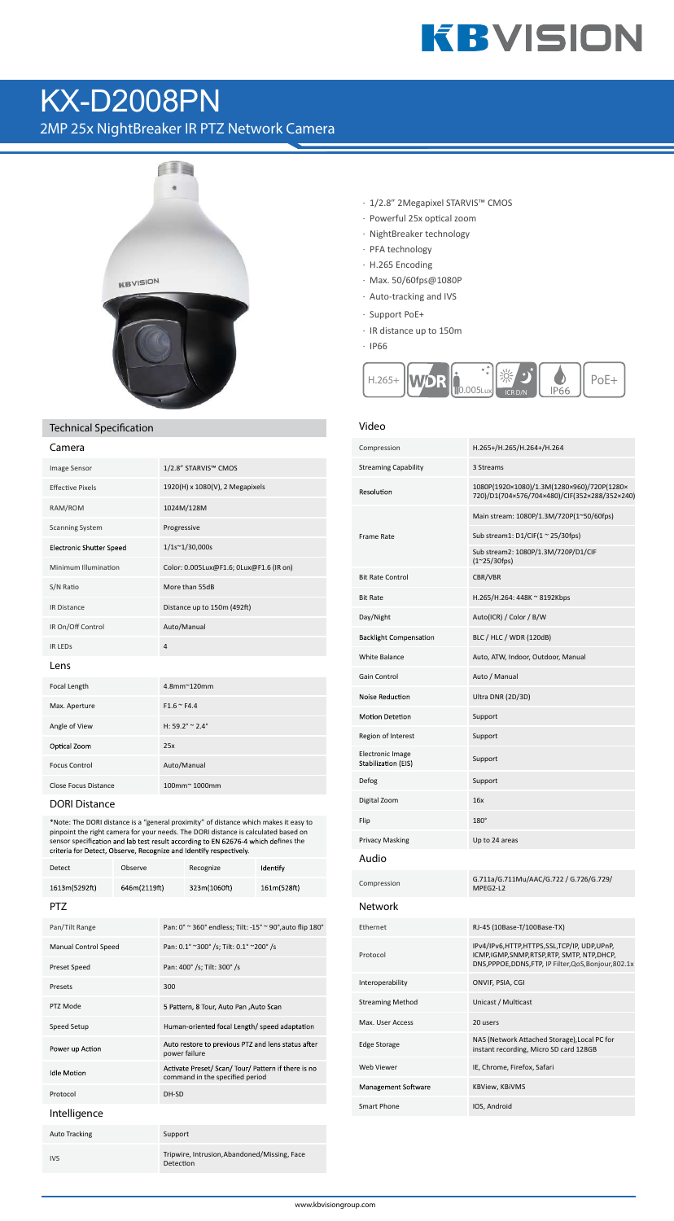## **KBVISION**

### KX-D2008PN

2MP 25x NightBreaker IR PTZ Network Camera



#### **Technical Specification**

| 1/2.8" STARVIS™ CMOS                    |
|-----------------------------------------|
| 1920(H) x 1080(V), 2 Megapixels         |
| 1024M/128M                              |
| Progressive                             |
| 1/1s~1/30,000s                          |
| Color: 0.005Lux@F1.6; 0Lux@F1.6 (IR on) |
| More than 55dB                          |
| Distance up to 150m (492ft)             |
| Auto/Manual                             |
| $\overline{4}$                          |
|                                         |
| 4.8mm~120mm                             |
| $F1.6 \cong F4.4$                       |
| H: $59.2^{\circ} \approx 2.4^{\circ}$   |
| 25x                                     |
| Auto/Manual                             |
| 100mm~1000mm                            |
|                                         |

**DORI Distance**

\*Note: The DORI distance is a "general proximity" of distance which makes it easy to pinpoint the right camera for your needs. The DORI distance is calculated based on sensor specification and lab test result according to EN 62676-4 which defines the criteria for Detect, Observe, Recognize and Identify respectively.

| Detect                      | Observe      |               | Recognize                                                                              | Identify    |
|-----------------------------|--------------|---------------|----------------------------------------------------------------------------------------|-------------|
| 1613m(5292ft)               | 646m(2119ft) |               | 323m(1060ft)                                                                           | 161m(528ft) |
| PT7                         |              |               |                                                                                        |             |
| Pan/Tilt Range              |              |               | Pan: 0° ~ 360° endless; Tilt: -15° ~ 90°, auto flip 180°                               |             |
| <b>Manual Control Speed</b> |              |               | Pan: 0.1° ~300° /s; Tilt: 0.1° ~200° /s                                                |             |
| Preset Speed                |              |               | Pan: 400° /s; Tilt: 300° /s                                                            |             |
| Presets                     |              | 300           |                                                                                        |             |
| PTZ Mode                    |              |               | 5 Pattern, 8 Tour, Auto Pan , Auto Scan                                                |             |
| Speed Setup                 |              |               | Human-oriented focal Length/ speed adaptation                                          |             |
| Power up Action             |              | power failure | Auto restore to previous PTZ and lens status after                                     |             |
| <b>Idle Motion</b>          |              |               | Activate Preset/ Scan/ Tour/ Pattern if there is no<br>command in the specified period |             |
| Protocol                    |              | DH-SD         |                                                                                        |             |
| Intelligence                |              |               |                                                                                        |             |
| <b>Auto Tracking</b>        |              | Support       |                                                                                        |             |
| <b>IVS</b>                  |              | Detection     | Tripwire, Intrusion, Abandoned/Missing, Face                                           |             |

- · 1/2.8" 2Megapixel STARVIS™ CMOS
- · Powerful 25x optical zoom
- · NightBreaker technology
- · PFA technology
- · H.265 Encoding
- · Max. 50/60fps@1080P
- · Auto-tracking and IVS
- · Support PoE+
- · IR distance up to 150m
- · IP66



#### **Video**

| Compression                                    | H.265+/H.265/H.264+/H.264                                                                                                                             |
|------------------------------------------------|-------------------------------------------------------------------------------------------------------------------------------------------------------|
| <b>Streaming Capability</b>                    | 3 Streams                                                                                                                                             |
| Resolution                                     | 1080P(1920×1080)/1.3M(1280×960)/720P(1280×<br>720)/D1(704×576/704×480)/CIF(352×288/352×240)                                                           |
|                                                | Main stream: 1080P/1.3M/720P(1~50/60fps)                                                                                                              |
| <b>Frame Rate</b>                              | Sub stream1: $D1/CIF(1 ~ 25/30fps)$                                                                                                                   |
|                                                | Sub stream2: 1080P/1.3M/720P/D1/CIF<br>$(1^{\sim}25/30$ fps)                                                                                          |
| <b>Bit Rate Control</b>                        | CBR/VBR                                                                                                                                               |
| <b>Bit Rate</b>                                | H.265/H.264: 448K ~ 8192Kbps                                                                                                                          |
| Day/Night                                      | Auto(ICR) / Color / B/W                                                                                                                               |
| <b>Backlight Compensation</b>                  | BLC / HLC / WDR (120dB)                                                                                                                               |
| <b>White Balance</b>                           | Auto, ATW, Indoor, Outdoor, Manual                                                                                                                    |
| <b>Gain Control</b>                            | Auto / Manual                                                                                                                                         |
| <b>Noise Reduction</b>                         | Ultra DNR (2D/3D)                                                                                                                                     |
| <b>Motion Detetion</b>                         | Support                                                                                                                                               |
| Region of Interest                             | Support                                                                                                                                               |
| <b>Electronic Image</b><br>Stabilization (EIS) | Support                                                                                                                                               |
| Defog                                          | Support                                                                                                                                               |
| Digital Zoom                                   | 16x                                                                                                                                                   |
| Flip                                           | 180°                                                                                                                                                  |
| <b>Privacy Masking</b>                         | Up to 24 areas                                                                                                                                        |
| Audio                                          |                                                                                                                                                       |
| Compression                                    | G.711a/G.711Mu/AAC/G.722 / G.726/G.729/<br>MPEG2-L2                                                                                                   |
| <b>Network</b>                                 |                                                                                                                                                       |
| Ethernet                                       | RJ-45 (10Base-T/100Base-TX)                                                                                                                           |
| Protocol                                       | IPv4/IPv6,HTTP,HTTPS,SSL,TCP/IP, UDP,UPnP,<br>ICMP, IGMP, SNMP, RTSP, RTP, SMTP, NTP, DHCP,<br>DNS, PPPOE, DDNS, FTP, IP Filter, QoS, Bonjour, 802.1x |
| Interoperability                               | ONVIF, PSIA, CGI                                                                                                                                      |
| <b>Streaming Method</b>                        | Unicast / Multicast                                                                                                                                   |
| Max. User Access                               | 20 users                                                                                                                                              |
| <b>Edge Storage</b>                            | NAS (Network Attached Storage),Local PC for<br>instant recording, Micro SD card 128GB                                                                 |
| Web Viewer                                     | IE, Chrome, Firefox, Safari                                                                                                                           |
| Management Software                            | KBView, KBiVMS                                                                                                                                        |
| Smart Phone                                    | IOS, Android                                                                                                                                          |